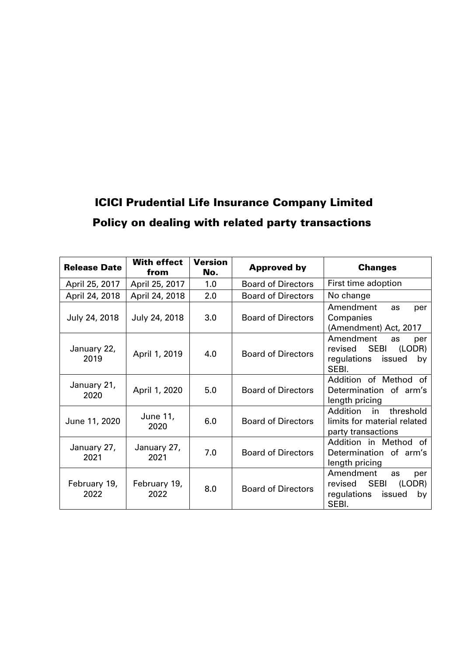# ICICI Prudential Life Insurance Company Limited Policy on dealing with related party transactions

| <b>Release Date</b>  | <b>With effect</b><br>from | Version<br>No. | <b>Approved by</b>        | <b>Changes</b>                                                                                     |
|----------------------|----------------------------|----------------|---------------------------|----------------------------------------------------------------------------------------------------|
| April 25, 2017       | April 25, 2017             | 1.0            | <b>Board of Directors</b> | First time adoption                                                                                |
| April 24, 2018       | April 24, 2018             | 2.0            | <b>Board of Directors</b> | No change                                                                                          |
| July 24, 2018        | July 24, 2018              | 3.0            | <b>Board of Directors</b> | Amendment<br>as<br>per<br>Companies<br>(Amendment) Act, 2017                                       |
| January 22,<br>2019  | April 1, 2019              | 4.0            | <b>Board of Directors</b> | Amendment<br>as<br>per<br><b>SEBI</b><br>(LODR)<br>revised<br>regulations<br>issued<br>by<br>SEBI. |
| January 21,<br>2020  | April 1, 2020              | 5.0            | <b>Board of Directors</b> | Addition of Method<br>of<br>Determination of arm's<br>length pricing                               |
| June 11, 2020        | June 11,<br>2020           | 6.0            | <b>Board of Directors</b> | Addition<br>threshold<br>in<br>limits for material related<br>party transactions                   |
| January 27,<br>2021  | January 27,<br>2021        | 7.0            | <b>Board of Directors</b> | Addition in Method of<br>Determination of arm's<br>length pricing                                  |
| February 19,<br>2022 | February 19,<br>2022       | 8.0            | <b>Board of Directors</b> | Amendment<br>as<br>per<br><b>SEBI</b><br>(LODR)<br>revised<br>regulations<br>issued<br>by<br>SEBI. |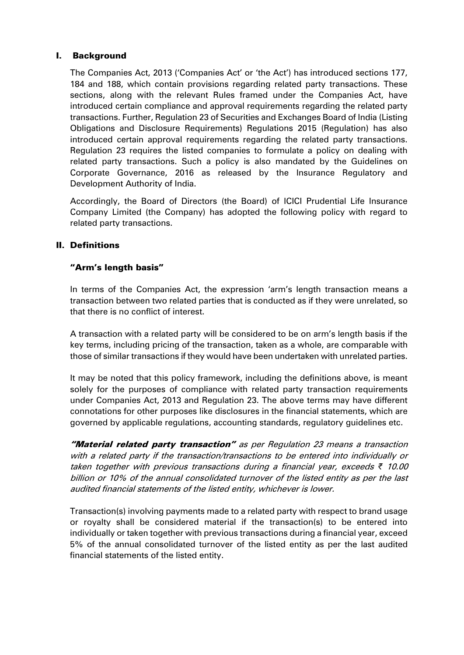# I. Background

The Companies Act, 2013 ('Companies Act' or 'the Act') has introduced sections 177, 184 and 188, which contain provisions regarding related party transactions. These sections, along with the relevant Rules framed under the Companies Act, have introduced certain compliance and approval requirements regarding the related party transactions. Further, Regulation 23 of Securities and Exchanges Board of India (Listing Obligations and Disclosure Requirements) Regulations 2015 (Regulation) has also introduced certain approval requirements regarding the related party transactions. Regulation 23 requires the listed companies to formulate a policy on dealing with related party transactions. Such a policy is also mandated by the Guidelines on Corporate Governance, 2016 as released by the Insurance Regulatory and Development Authority of India.

Accordingly, the Board of Directors (the Board) of ICICI Prudential Life Insurance Company Limited (the Company) has adopted the following policy with regard to related party transactions.

# II. Definitions

# "Arm's length basis"

In terms of the Companies Act, the expression 'arm's length transaction means a transaction between two related parties that is conducted as if they were unrelated, so that there is no conflict of interest.

A transaction with a related party will be considered to be on arm's length basis if the key terms, including pricing of the transaction, taken as a whole, are comparable with those of similar transactions if they would have been undertaken with unrelated parties.

It may be noted that this policy framework, including the definitions above, is meant solely for the purposes of compliance with related party transaction requirements under Companies Act, 2013 and Regulation 23. The above terms may have different connotations for other purposes like disclosures in the financial statements, which are governed by applicable regulations, accounting standards, regulatory guidelines etc.

"Material related party transaction" as per Regulation 23 means a transaction with a related party if the transaction/transactions to be entered into individually or taken together with previous transactions during a financial year, exceeds *₹* 10.00 billion or 10% of the annual consolidated turnover of the listed entity as per the last audited financial statements of the listed entity, whichever is lower.

Transaction(s) involving payments made to a related party with respect to brand usage or royalty shall be considered material if the transaction(s) to be entered into individually or taken together with previous transactions during a financial year, exceed 5% of the annual consolidated turnover of the listed entity as per the last audited financial statements of the listed entity.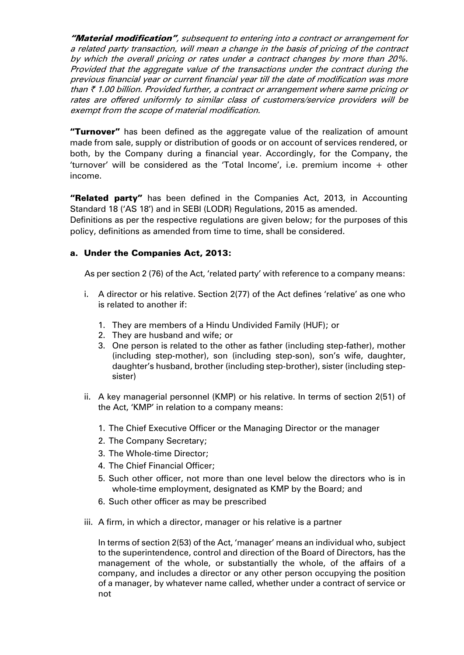"Material modification", subsequent to entering into a contract or arrangement for a related party transaction, will mean a change in the basis of pricing of the contract by which the overall pricing or rates under a contract changes by more than 20%. Provided that the aggregate value of the transactions under the contract during the previous financial year or current financial year till the date of modification was more than  $\bar{\tau}$  1.00 billion. Provided further, a contract or arrangement where same pricing or rates are offered uniformly to similar class of customers/service providers will be exempt from the scope of material modification.

"Turnover" has been defined as the aggregate value of the realization of amount made from sale, supply or distribution of goods or on account of services rendered, or both, by the Company during a financial year. Accordingly, for the Company, the 'turnover' will be considered as the 'Total Income', i.e. premium income + other income.

"Related party" has been defined in the Companies Act, 2013, in Accounting Standard 18 ('AS 18') and in SEBI (LODR) Regulations, 2015 as amended.

Definitions as per the respective regulations are given below; for the purposes of this policy, definitions as amended from time to time, shall be considered.

# a. Under the Companies Act, 2013:

As per section 2 (76) of the Act, 'related party' with reference to a company means:

- i. A director or his relative. Section 2(77) of the Act defines 'relative' as one who is related to another if:
	- 1. They are members of a Hindu Undivided Family (HUF); or
	- 2. They are husband and wife; or
	- 3. One person is related to the other as father (including step-father), mother (including step-mother), son (including step-son), son's wife, daughter, daughter's husband, brother (including step-brother), sister (including stepsister)
- ii. A key managerial personnel (KMP) or his relative. In terms of section 2(51) of the Act, 'KMP' in relation to a company means:
	- 1. The Chief Executive Officer or the Managing Director or the manager
	- 2. The Company Secretary;
	- 3. The Whole-time Director;
	- 4. The Chief Financial Officer;
	- 5. Such other officer, not more than one level below the directors who is in whole-time employment, designated as KMP by the Board; and
	- 6. Such other officer as may be prescribed
- iii. A firm, in which a director, manager or his relative is a partner

In terms of section 2(53) of the Act, 'manager' means an individual who, subject to the superintendence, control and direction of the Board of Directors, has the management of the whole, or substantially the whole, of the affairs of a company, and includes a director or any other person occupying the position of a manager, by whatever name called, whether under a contract of service or not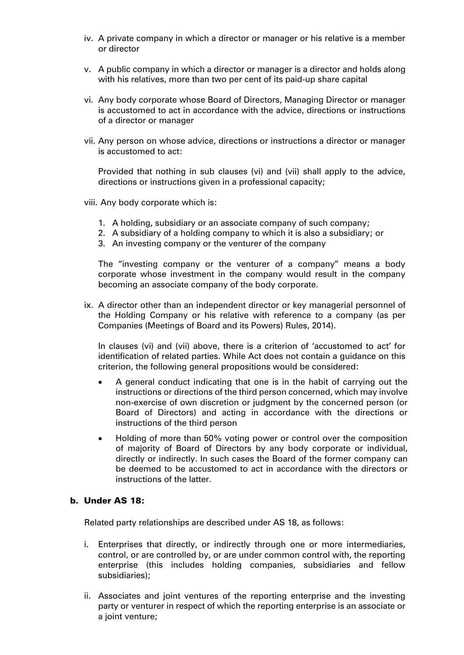- iv. A private company in which a director or manager or his relative is a member or director
- v. A public company in which a director or manager is a director and holds along with his relatives, more than two per cent of its paid-up share capital
- vi. Any body corporate whose Board of Directors, Managing Director or manager is accustomed to act in accordance with the advice, directions or instructions of a director or manager
- vii. Any person on whose advice, directions or instructions a director or manager is accustomed to act:

Provided that nothing in sub clauses (vi) and (vii) shall apply to the advice, directions or instructions given in a professional capacity;

- viii. Any body corporate which is:
	- 1. A holding, subsidiary or an associate company of such company;
	- 2. A subsidiary of a holding company to which it is also a subsidiary; or
	- 3. An investing company or the venturer of the company

The "investing company or the venturer of a company" means a body corporate whose investment in the company would result in the company becoming an associate company of the body corporate.

ix. A director other than an independent director or key managerial personnel of the Holding Company or his relative with reference to a company (as per Companies (Meetings of Board and its Powers) Rules, 2014).

In clauses (vi) and (vii) above, there is a criterion of 'accustomed to act' for identification of related parties. While Act does not contain a guidance on this criterion, the following general propositions would be considered:

- A general conduct indicating that one is in the habit of carrying out the instructions or directions of the third person concerned, which may involve non-exercise of own discretion or judgment by the concerned person (or Board of Directors) and acting in accordance with the directions or instructions of the third person
- Holding of more than 50% voting power or control over the composition of majority of Board of Directors by any body corporate or individual, directly or indirectly. In such cases the Board of the former company can be deemed to be accustomed to act in accordance with the directors or instructions of the latter.

#### b. Under AS 18:

Related party relationships are described under AS 18, as follows:

- i. Enterprises that directly, or indirectly through one or more intermediaries, control, or are controlled by, or are under common control with, the reporting enterprise (this includes holding companies, subsidiaries and fellow subsidiaries);
- ii. Associates and joint ventures of the reporting enterprise and the investing party or venturer in respect of which the reporting enterprise is an associate or a joint venture;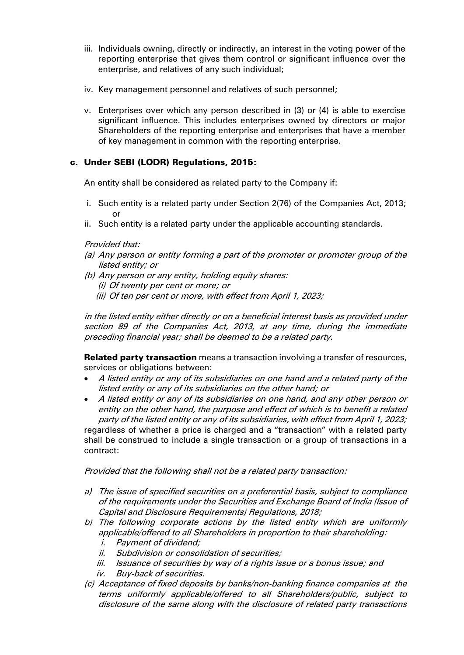- iii. Individuals owning, directly or indirectly, an interest in the voting power of the reporting enterprise that gives them control or significant influence over the enterprise, and relatives of any such individual;
- iv. Key management personnel and relatives of such personnel;
- v. Enterprises over which any person described in (3) or (4) is able to exercise significant influence. This includes enterprises owned by directors or major Shareholders of the reporting enterprise and enterprises that have a member of key management in common with the reporting enterprise.

# c. Under SEBI (LODR) Regulations, 2015:

An entity shall be considered as related party to the Company if:

- i. Such entity is a related party under Section 2(76) of the Companies Act, 2013; or
- ii. Such entity is a related party under the applicable accounting standards.

#### Provided that:

- (a) Any person or entity forming a part of the promoter or promoter group of the listed entity; or
- (b) Any person or any entity, holding equity shares:
	- (i) Of twenty per cent or more; or
	- (ii) Of ten per cent or more, with effect from April 1, 2023;

in the listed entity either directly or on a beneficial interest basis as provided under section 89 of the Companies Act, 2013, at any time, during the immediate preceding financial year; shall be deemed to be a related party.

**Related party transaction** means a transaction involving a transfer of resources, services or obligations between:

- A listed entity or any of its subsidiaries on one hand and a related party of the listed entity or any of its subsidiaries on the other hand; or
- A listed entity or any of its subsidiaries on one hand, and any other person or entity on the other hand, the purpose and effect of which is to benefit a related party of the listed entity or any of its subsidiaries, with effect from April 1, 2023; regardless of whether a price is charged and a "transaction" with a related party shall be construed to include a single transaction or a group of transactions in a contract:

Provided that the following shall not be a related party transaction:

- a) The issue of specified securities on a preferential basis, subject to compliance of the requirements under the Securities and Exchange Board of India (Issue of Capital and Disclosure Requirements) Regulations, 2018;
- b) The following corporate actions by the listed entity which are uniformly applicable/offered to all Shareholders in proportion to their shareholding: i. Payment of dividend;
	- ii. Subdivision or consolidation of securities;
	- iii. Issuance of securities by way of a rights issue or a bonus issue; and
	- iv. Buy-back of securities.
- (c) Acceptance of fixed deposits by banks/non-banking finance companies at the terms uniformly applicable/offered to all Shareholders/public, subject to disclosure of the same along with the disclosure of related party transactions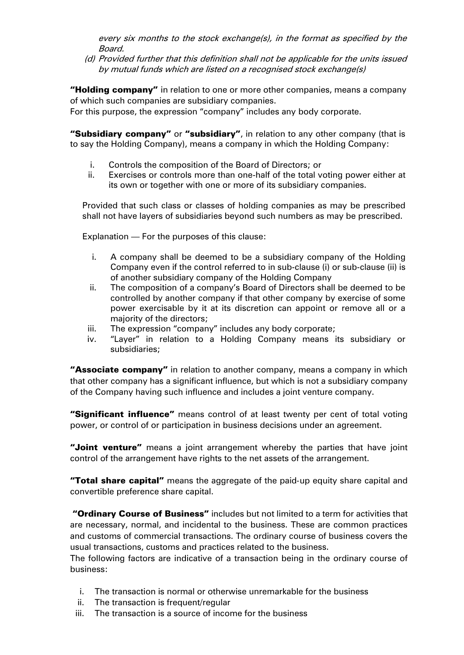every six months to the stock exchange(s), in the format as specified by the Board.

(d) Provided further that this definition shall not be applicable for the units issued by mutual funds which are listed on a recognised stock exchange(s)

"Holding company" in relation to one or more other companies, means a company of which such companies are subsidiary companies.

For this purpose, the expression "company" includes any body corporate.

"Subsidiary company" or "subsidiary", in relation to any other company (that is to say the Holding Company), means a company in which the Holding Company:

- i. Controls the composition of the Board of Directors; or
- ii. Exercises or controls more than one-half of the total voting power either at its own or together with one or more of its subsidiary companies.

Provided that such class or classes of holding companies as may be prescribed shall not have layers of subsidiaries beyond such numbers as may be prescribed.

Explanation — For the purposes of this clause:

- i. A company shall be deemed to be a subsidiary company of the Holding Company even if the control referred to in sub-clause (i) or sub-clause (ii) is of another subsidiary company of the Holding Company
- ii. The composition of a company's Board of Directors shall be deemed to be controlled by another company if that other company by exercise of some power exercisable by it at its discretion can appoint or remove all or a majority of the directors;
- iii. The expression "company" includes any body corporate;
- iv. "Layer" in relation to a Holding Company means its subsidiary or subsidiaries;

"Associate company" in relation to another company, means a company in which that other company has a significant influence, but which is not a subsidiary company of the Company having such influence and includes a joint venture company.

"Significant influence" means control of at least twenty per cent of total voting power, or control of or participation in business decisions under an agreement.

"Joint venture" means a joint arrangement whereby the parties that have joint control of the arrangement have rights to the net assets of the arrangement.

"Total share capital" means the aggregate of the paid-up equity share capital and convertible preference share capital.

"Ordinary Course of Business" includes but not limited to a term for activities that are necessary, normal, and incidental to the business. These are common practices and customs of commercial transactions. The ordinary course of business covers the usual transactions, customs and practices related to the business.

The following factors are indicative of a transaction being in the ordinary course of business:

- i. The transaction is normal or otherwise unremarkable for the business
- ii. The transaction is frequent/regular
- iii. The transaction is a source of income for the business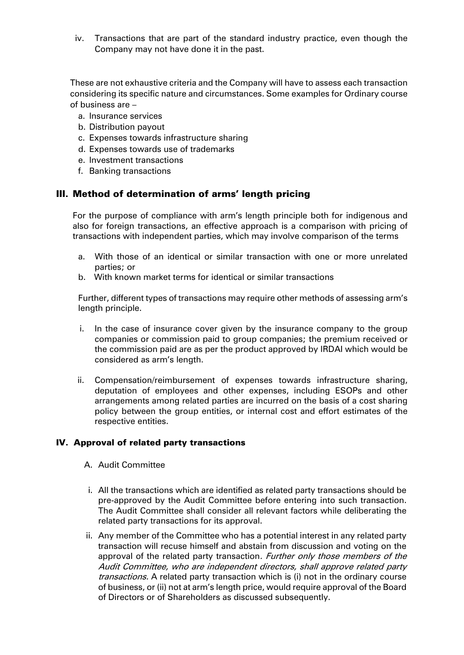iv. Transactions that are part of the standard industry practice, even though the Company may not have done it in the past.

These are not exhaustive criteria and the Company will have to assess each transaction considering its specific nature and circumstances. Some examples for Ordinary course of business are –

- a. Insurance services
- b. Distribution payout
- c. Expenses towards infrastructure sharing
- d. Expenses towards use of trademarks
- e. Investment transactions
- f. Banking transactions

#### III. Method of determination of arms' length pricing

For the purpose of compliance with arm's length principle both for indigenous and also for foreign transactions, an effective approach is a comparison with pricing of transactions with independent parties, which may involve comparison of the terms

- a. With those of an identical or similar transaction with one or more unrelated parties; or
- b. With known market terms for identical or similar transactions

Further, different types of transactions may require other methods of assessing arm's length principle.

- i. In the case of insurance cover given by the insurance company to the group companies or commission paid to group companies; the premium received or the commission paid are as per the product approved by IRDAI which would be considered as arm's length.
- ii. Compensation/reimbursement of expenses towards infrastructure sharing, deputation of employees and other expenses, including ESOPs and other arrangements among related parties are incurred on the basis of a cost sharing policy between the group entities, or internal cost and effort estimates of the respective entities.

#### IV. Approval of related party transactions

- A. Audit Committee
- i. All the transactions which are identified as related party transactions should be pre-approved by the Audit Committee before entering into such transaction. The Audit Committee shall consider all relevant factors while deliberating the related party transactions for its approval.
- ii. Any member of the Committee who has a potential interest in any related party transaction will recuse himself and abstain from discussion and voting on the approval of the related party transaction. Further only those members of the Audit Committee, who are independent directors, shall approve related party transactions. A related party transaction which is (i) not in the ordinary course of business, or (ii) not at arm's length price, would require approval of the Board of Directors or of Shareholders as discussed subsequently.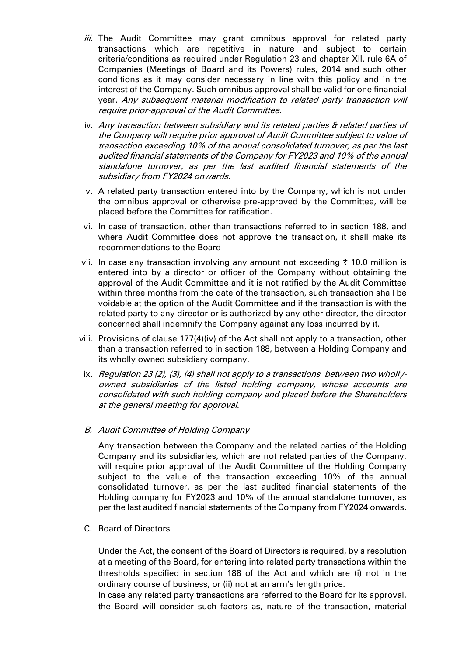- iii. The Audit Committee may grant omnibus approval for related party transactions which are repetitive in nature and subject to certain criteria/conditions as required under Regulation 23 and chapter XII, rule 6A of Companies (Meetings of Board and its Powers) rules, 2014 and such other conditions as it may consider necessary in line with this policy and in the interest of the Company. Such omnibus approval shall be valid for one financial year. Any subsequent material modification to related party transaction will require prior-approval of the Audit Committee.
- iv. Any transaction between subsidiary and its related parties & related parties of the Company will require prior approval of Audit Committee subject to value of transaction exceeding 10% of the annual consolidated turnover, as per the last audited financial statements of the Company for FY2023 and 10% of the annual standalone turnover, as per the last audited financial statements of the subsidiary from FY2024 onwards.
- v. A related party transaction entered into by the Company, which is not under the omnibus approval or otherwise pre-approved by the Committee, will be placed before the Committee for ratification.
- vi. In case of transaction, other than transactions referred to in section 188, and where Audit Committee does not approve the transaction, it shall make its recommendations to the Board
- vii. In case any transaction involving any amount not exceeding  $\bar{\tau}$  10.0 million is entered into by a director or officer of the Company without obtaining the approval of the Audit Committee and it is not ratified by the Audit Committee within three months from the date of the transaction, such transaction shall be voidable at the option of the Audit Committee and if the transaction is with the related party to any director or is authorized by any other director, the director concerned shall indemnify the Company against any loss incurred by it.
- viii. Provisions of clause 177(4)(iv) of the Act shall not apply to a transaction, other than a transaction referred to in section 188, between a Holding Company and its wholly owned subsidiary company.
- ix. Regulation 23 (2), (3), (4) shall not apply to a transactions between two whollyowned subsidiaries of the listed holding company, whose accounts are consolidated with such holding company and placed before the Shareholders at the general meeting for approval.
- B. Audit Committee of Holding Company

Any transaction between the Company and the related parties of the Holding Company and its subsidiaries, which are not related parties of the Company, will require prior approval of the Audit Committee of the Holding Company subject to the value of the transaction exceeding 10% of the annual consolidated turnover, as per the last audited financial statements of the Holding company for FY2023 and 10% of the annual standalone turnover, as per the last audited financial statements of the Company from FY2024 onwards.

C. Board of Directors

Under the Act, the consent of the Board of Directors is required, by a resolution at a meeting of the Board, for entering into related party transactions within the thresholds specified in section 188 of the Act and which are (i) not in the ordinary course of business, or (ii) not at an arm's length price.

In case any related party transactions are referred to the Board for its approval, the Board will consider such factors as, nature of the transaction, material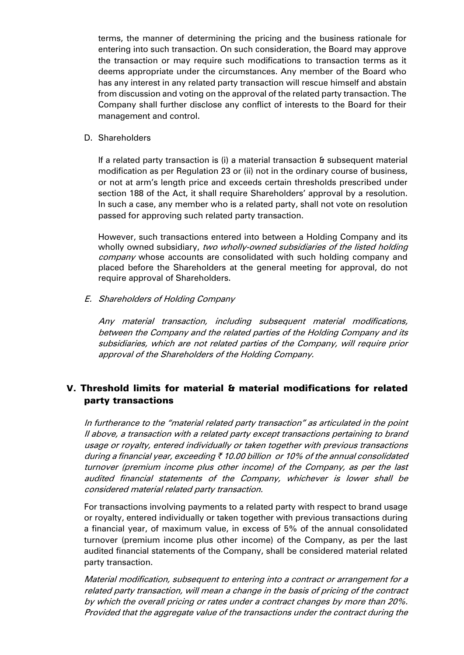terms, the manner of determining the pricing and the business rationale for entering into such transaction. On such consideration, the Board may approve the transaction or may require such modifications to transaction terms as it deems appropriate under the circumstances. Any member of the Board who has any interest in any related party transaction will rescue himself and abstain from discussion and voting on the approval of the related party transaction. The Company shall further disclose any conflict of interests to the Board for their management and control.

#### D. Shareholders

If a related party transaction is (i) a material transaction & subsequent material modification as per Regulation 23 or (ii) not in the ordinary course of business, or not at arm's length price and exceeds certain thresholds prescribed under section 188 of the Act, it shall require Shareholders' approval by a resolution. In such a case, any member who is a related party, shall not vote on resolution passed for approving such related party transaction.

However, such transactions entered into between a Holding Company and its wholly owned subsidiary, two wholly-owned subsidiaries of the listed holding company whose accounts are consolidated with such holding company and placed before the Shareholders at the general meeting for approval, do not require approval of Shareholders.

#### E. Shareholders of Holding Company

Any material transaction, including subsequent material modifications, between the Company and the related parties of the Holding Company and its subsidiaries, which are not related parties of the Company, will require prior approval of the Shareholders of the Holding Company.

# V. Threshold limits for material & material modifications for related party transactions

In furtherance to the "material related party transaction" as articulated in the point II above, a transaction with a related party except transactions pertaining to brand usage or royalty, entered individually or taken together with previous transactions during a financial year, exceeding  $\bar{\zeta}$  10.00 billion or 10% of the annual consolidated turnover (premium income plus other income) of the Company, as per the last audited financial statements of the Company, whichever is lower shall be considered material related party transaction.

For transactions involving payments to a related party with respect to brand usage or royalty, entered individually or taken together with previous transactions during a financial year, of maximum value, in excess of 5% of the annual consolidated turnover (premium income plus other income) of the Company, as per the last audited financial statements of the Company, shall be considered material related party transaction.

Material modification, subsequent to entering into a contract or arrangement for a related party transaction, will mean a change in the basis of pricing of the contract by which the overall pricing or rates under a contract changes by more than 20%. Provided that the aggregate value of the transactions under the contract during the